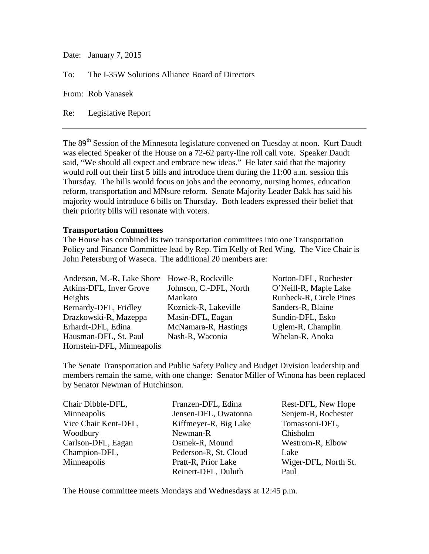Date: January 7, 2015

To: The I-35W Solutions Alliance Board of Directors

From: Rob Vanasek

Re: Legislative Report

The 89<sup>th</sup> Session of the Minnesota legislature convened on Tuesday at noon. Kurt Daudt was elected Speaker of the House on a 72-62 party-line roll call vote. Speaker Daudt said, "We should all expect and embrace new ideas." He later said that the majority would roll out their first 5 bills and introduce them during the 11:00 a.m. session this Thursday. The bills would focus on jobs and the economy, nursing homes, education reform, transportation and MNsure reform. Senate Majority Leader Bakk has said his majority would introduce 6 bills on Thursday. Both leaders expressed their belief that their priority bills will resonate with voters.

#### **Transportation Committees**

The House has combined its two transportation committees into one Transportation Policy and Finance Committee lead by Rep. Tim Kelly of Red Wing. The Vice Chair is John Petersburg of Waseca. The additional 20 members are:

| Anderson, M.-R, Lake Shore Howe-R, Rockville |                        | Norton-DFL, Rochester   |
|----------------------------------------------|------------------------|-------------------------|
| Atkins-DFL, Inver Grove                      | Johnson, C.-DFL, North | O'Neill-R, Maple Lake   |
| Heights                                      | Mankato                | Runbeck-R, Circle Pines |
| Bernardy-DFL, Fridley                        | Koznick-R, Lakeville   | Sanders-R, Blaine       |
| Drazkowski-R, Mazeppa                        | Masin-DFL, Eagan       | Sundin-DFL, Esko        |
| Erhardt-DFL, Edina                           | McNamara-R, Hastings   | Uglem-R, Champlin       |
| Hausman-DFL, St. Paul                        | Nash-R, Waconia        | Whelan-R, Anoka         |
| Hornstein-DFL, Minneapolis                   |                        |                         |

The Senate Transportation and Public Safety Policy and Budget Division leadership and members remain the same, with one change: Senator Miller of Winona has been replaced by Senator Newman of Hutchinson.

| Chair Dibble-DFL,    | Franzen-DFL, Edina    | Rest-DFL, New Hope   |
|----------------------|-----------------------|----------------------|
| Minneapolis          | Jensen-DFL, Owatonna  | Senjem-R, Rochester  |
| Vice Chair Kent-DFL, | Kiffmeyer-R, Big Lake | Tomassoni-DFL,       |
| Woodbury             | Newman-R              | Chisholm             |
| Carlson-DFL, Eagan   | Osmek-R, Mound        | Westrom-R, Elbow     |
| Champion-DFL,        | Pederson-R, St. Cloud | Lake                 |
| Minneapolis          | Pratt-R, Prior Lake   | Wiger-DFL, North St. |
|                      | Reinert-DFL, Duluth   | Paul                 |

The House committee meets Mondays and Wednesdays at 12:45 p.m.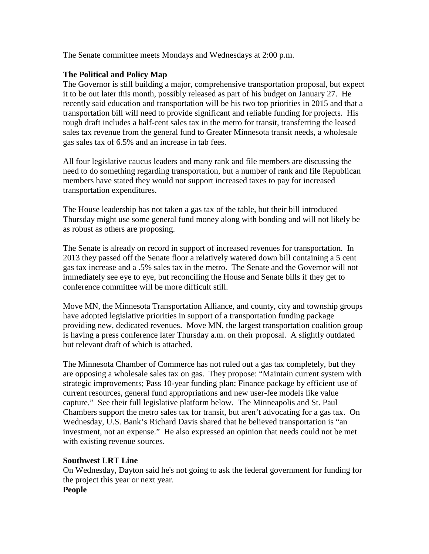The Senate committee meets Mondays and Wednesdays at 2:00 p.m.

#### **The Political and Policy Map**

The Governor is still building a major, comprehensive transportation proposal, but expect it to be out later this month, possibly released as part of his budget on January 27. He recently said education and transportation will be his two top priorities in 2015 and that a transportation bill will need to provide significant and reliable funding for projects. His rough draft includes a half-cent sales tax in the metro for transit, transferring the leased sales tax revenue from the general fund to Greater Minnesota transit needs, a wholesale gas sales tax of 6.5% and an increase in tab fees.

All four legislative caucus leaders and many rank and file members are discussing the need to do something regarding transportation, but a number of rank and file Republican members have stated they would not support increased taxes to pay for increased transportation expenditures.

The House leadership has not taken a gas tax of the table, but their bill introduced Thursday might use some general fund money along with bonding and will not likely be as robust as others are proposing.

The Senate is already on record in support of increased revenues for transportation. In 2013 they passed off the Senate floor a relatively watered down bill containing a 5 cent gas tax increase and a .5% sales tax in the metro. The Senate and the Governor will not immediately see eye to eye, but reconciling the House and Senate bills if they get to conference committee will be more difficult still.

Move MN, the Minnesota Transportation Alliance, and county, city and township groups have adopted legislative priorities in support of a transportation funding package providing new, dedicated revenues. Move MN, the largest transportation coalition group is having a press conference later Thursday a.m. on their proposal. A slightly outdated but relevant draft of which is attached.

The Minnesota Chamber of Commerce has not ruled out a gas tax completely, but they are opposing a wholesale sales tax on gas. They propose: "Maintain current system with strategic improvements; Pass 10-year funding plan; Finance package by efficient use of current resources, general fund appropriations and new user-fee models like value capture." See their full legislative platform below. The Minneapolis and St. Paul Chambers support the metro sales tax for transit, but aren't advocating for a gas tax. On Wednesday, U.S. Bank's Richard Davis shared that he believed transportation is "an investment, not an expense." He also expressed an opinion that needs could not be met with existing revenue sources.

#### **Southwest LRT Line**

On Wednesday, Dayton said he's not going to ask the federal government for funding for the project this year or next year. **People**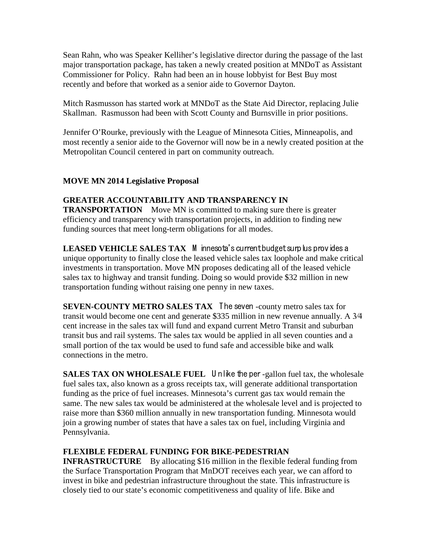Sean Rahn, who was Speaker Kelliher's legislative director during the passage of the last major transportation package, has taken a newly created position at MNDoT as Assistant Commissioner for Policy. Rahn had been an in house lobbyist for Best Buy most recently and before that worked as a senior aide to Governor Dayton.

Mitch Rasmusson has started work at MNDoT as the State Aid Director, replacing Julie Skallman. Rasmusson had been with Scott County and Burnsville in prior positions.

Jennifer O'Rourke, previously with the League of Minnesota Cities, Minneapolis, and most recently a senior aide to the Governor will now be in a newly created position at the Metropolitan Council centered in part on community outreach.

## **MOVE MN 2014 Legislative Proposal**

## **GREATER ACCOUNTABILITY AND TRANSPARENCY IN**

**TRANSPORTATION** Move MN is committed to making sure there is greater efficiency and transparency with transportation projects, in addition to finding new funding sources that meet long-term obligations for all modes.

LEASED VEHICLE SALES TAX M innesota's current budget surplus provides a unique opportunity to finally close the leased vehicle sales tax loophole and make critical investments in transportation. Move MN proposes dedicating all of the leased vehicle sales tax to highway and transit funding. Doing so would provide \$32 million in new transportation funding without raising one penny in new taxes.

**SEVEN-COUNTY METRO SALES TAX** The seven -county metro sales tax for transit would become one cent and generate \$335 million in new revenue annually. A 3⁄4 cent increase in the sales tax will fund and expand current Metro Transit and suburban transit bus and rail systems. The sales tax would be applied in all seven counties and a small portion of the tax would be used to fund safe and accessible bike and walk connections in the metro.

**SALES TAX ON WHOLESALE FUEL** Unlike the per-gallon fuel tax, the wholesale fuel sales tax, also known as a gross receipts tax, will generate additional transportation funding as the price of fuel increases. Minnesota's current gas tax would remain the same. The new sales tax would be administered at the wholesale level and is projected to raise more than \$360 million annually in new transportation funding. Minnesota would join a growing number of states that have a sales tax on fuel, including Virginia and Pennsylvania.

## **FLEXIBLE FEDERAL FUNDING FOR BIKE-PEDESTRIAN**

**INFRASTRUCTURE**  By allocating \$16 million in the flexible federal funding from the Surface Transportation Program that MnDOT receives each year, we can afford to invest in bike and pedestrian infrastructure throughout the state. This infrastructure is closely tied to our state's economic competitiveness and quality of life. Bike and